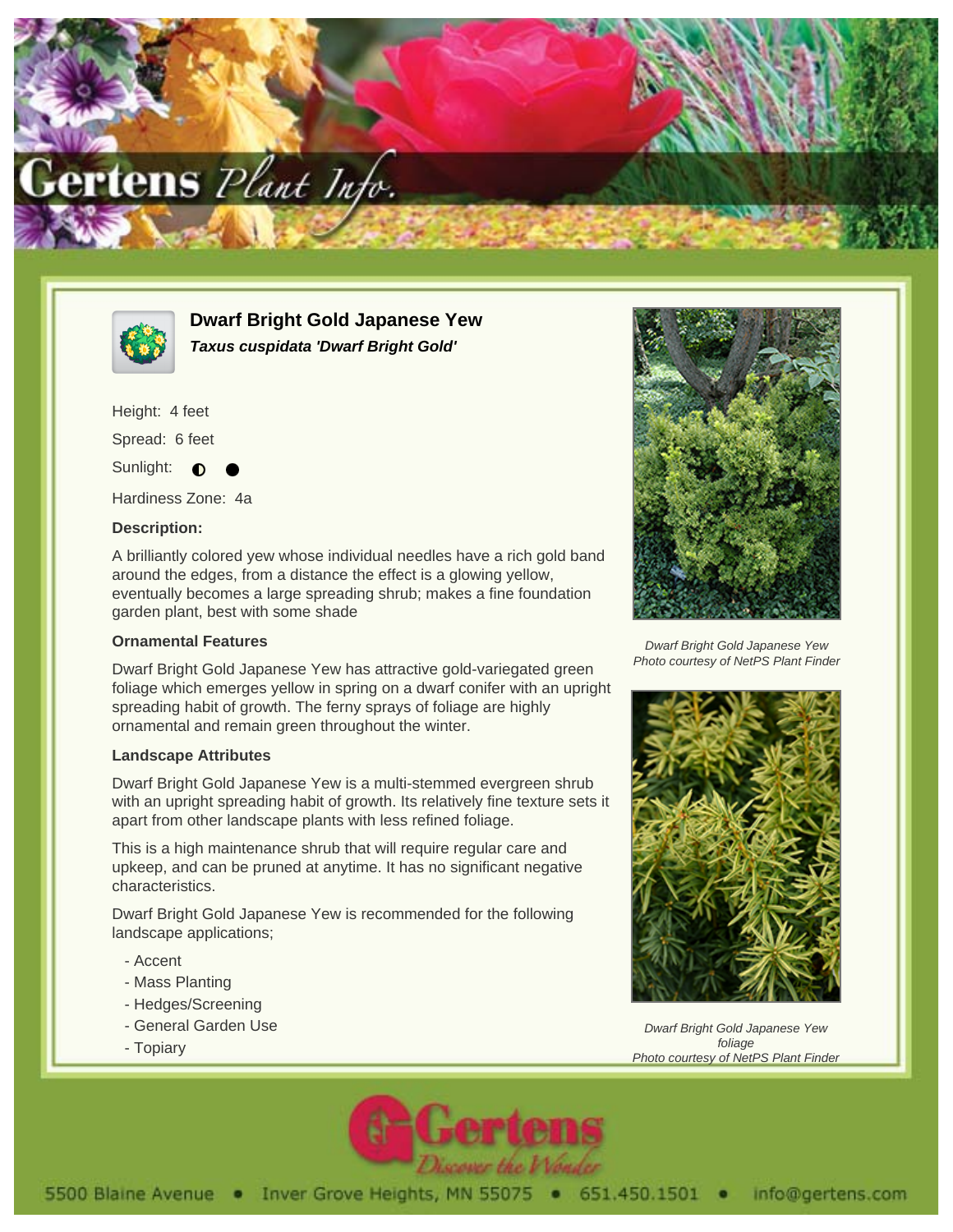



**Dwarf Bright Gold Japanese Yew Taxus cuspidata 'Dwarf Bright Gold'**

Height: 4 feet Spread: 6 feet Sunlight: **O** 

Hardiness Zone: 4a

## **Description:**

A brilliantly colored yew whose individual needles have a rich gold band around the edges, from a distance the effect is a glowing yellow, eventually becomes a large spreading shrub; makes a fine foundation garden plant, best with some shade

## **Ornamental Features**

Dwarf Bright Gold Japanese Yew has attractive gold-variegated green foliage which emerges yellow in spring on a dwarf conifer with an upright spreading habit of growth. The ferny sprays of foliage are highly ornamental and remain green throughout the winter.

## **Landscape Attributes**

Dwarf Bright Gold Japanese Yew is a multi-stemmed evergreen shrub with an upright spreading habit of growth. Its relatively fine texture sets it apart from other landscape plants with less refined foliage.

This is a high maintenance shrub that will require regular care and upkeep, and can be pruned at anytime. It has no significant negative characteristics.

Dwarf Bright Gold Japanese Yew is recommended for the following landscape applications;

- Accent
- Mass Planting
- Hedges/Screening
- General Garden Use
- Topiary



Dwarf Bright Gold Japanese Yew Photo courtesy of NetPS Plant Finder



Dwarf Bright Gold Japanese Yew foliage Photo courtesy of NetPS Plant Finder